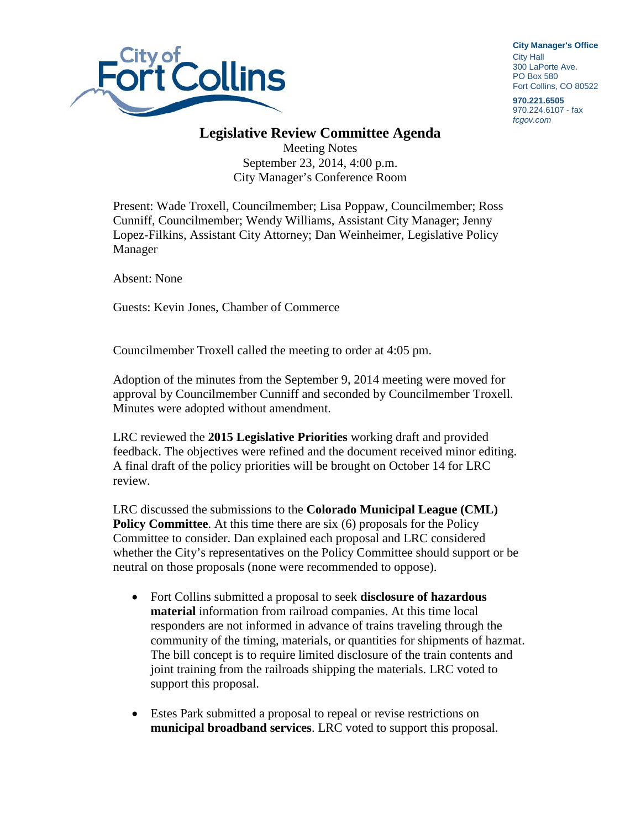

**City Manager**'**s Office** City Hall 300 LaPorte Ave. PO Box 580 Fort Collins, CO 80522

**970.221.6505** 970.224.6107 - fax *fcgov.com*

## **Legislative Review Committee Agenda**

Meeting Notes September 23, 2014, 4:00 p.m. City Manager's Conference Room

Present: Wade Troxell, Councilmember; Lisa Poppaw, Councilmember; Ross Cunniff, Councilmember; Wendy Williams, Assistant City Manager; Jenny Lopez-Filkins, Assistant City Attorney; Dan Weinheimer, Legislative Policy Manager

Absent: None

Guests: Kevin Jones, Chamber of Commerce

Councilmember Troxell called the meeting to order at 4:05 pm.

Adoption of the minutes from the September 9, 2014 meeting were moved for approval by Councilmember Cunniff and seconded by Councilmember Troxell. Minutes were adopted without amendment.

LRC reviewed the **2015 Legislative Priorities** working draft and provided feedback. The objectives were refined and the document received minor editing. A final draft of the policy priorities will be brought on October 14 for LRC review.

LRC discussed the submissions to the **Colorado Municipal League (CML) Policy Committee.** At this time there are six (6) proposals for the Policy Committee to consider. Dan explained each proposal and LRC considered whether the City's representatives on the Policy Committee should support or be neutral on those proposals (none were recommended to oppose).

- Fort Collins submitted a proposal to seek **disclosure of hazardous material** information from railroad companies. At this time local responders are not informed in advance of trains traveling through the community of the timing, materials, or quantities for shipments of hazmat. The bill concept is to require limited disclosure of the train contents and joint training from the railroads shipping the materials. LRC voted to support this proposal.
- Estes Park submitted a proposal to repeal or revise restrictions on **municipal broadband services**. LRC voted to support this proposal.